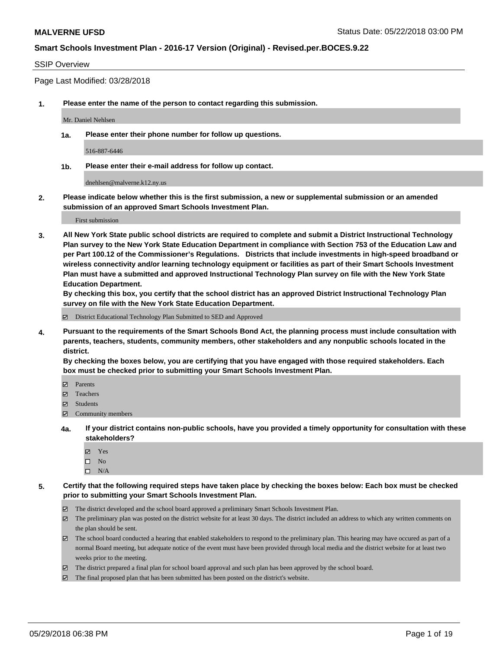### SSIP Overview

Page Last Modified: 03/28/2018

**1. Please enter the name of the person to contact regarding this submission.**

Mr. Daniel Nehlsen

**1a. Please enter their phone number for follow up questions.**

516-887-6446

**1b. Please enter their e-mail address for follow up contact.**

dnehlsen@malverne.k12.ny.us

**2. Please indicate below whether this is the first submission, a new or supplemental submission or an amended submission of an approved Smart Schools Investment Plan.**

First submission

**3. All New York State public school districts are required to complete and submit a District Instructional Technology Plan survey to the New York State Education Department in compliance with Section 753 of the Education Law and per Part 100.12 of the Commissioner's Regulations. Districts that include investments in high-speed broadband or wireless connectivity and/or learning technology equipment or facilities as part of their Smart Schools Investment Plan must have a submitted and approved Instructional Technology Plan survey on file with the New York State Education Department.** 

**By checking this box, you certify that the school district has an approved District Instructional Technology Plan survey on file with the New York State Education Department.**

District Educational Technology Plan Submitted to SED and Approved

**4. Pursuant to the requirements of the Smart Schools Bond Act, the planning process must include consultation with parents, teachers, students, community members, other stakeholders and any nonpublic schools located in the district.** 

**By checking the boxes below, you are certifying that you have engaged with those required stakeholders. Each box must be checked prior to submitting your Smart Schools Investment Plan.**

- Parents
- Teachers
- Students
- $\Xi$  Community members
- **4a. If your district contains non-public schools, have you provided a timely opportunity for consultation with these stakeholders?**
	- Yes
	- $\square$  No
	- $\square$  N/A
- **5. Certify that the following required steps have taken place by checking the boxes below: Each box must be checked prior to submitting your Smart Schools Investment Plan.**
	- The district developed and the school board approved a preliminary Smart Schools Investment Plan.
	- $\boxtimes$  The preliminary plan was posted on the district website for at least 30 days. The district included an address to which any written comments on the plan should be sent.
	- $\boxtimes$  The school board conducted a hearing that enabled stakeholders to respond to the preliminary plan. This hearing may have occured as part of a normal Board meeting, but adequate notice of the event must have been provided through local media and the district website for at least two weeks prior to the meeting.
	- The district prepared a final plan for school board approval and such plan has been approved by the school board.
	- $\boxtimes$  The final proposed plan that has been submitted has been posted on the district's website.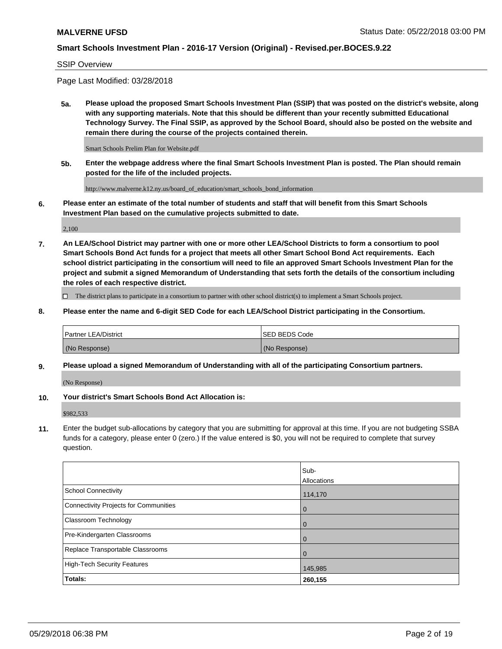#### SSIP Overview

Page Last Modified: 03/28/2018

**5a. Please upload the proposed Smart Schools Investment Plan (SSIP) that was posted on the district's website, along with any supporting materials. Note that this should be different than your recently submitted Educational Technology Survey. The Final SSIP, as approved by the School Board, should also be posted on the website and remain there during the course of the projects contained therein.**

Smart Schools Prelim Plan for Website.pdf

**5b. Enter the webpage address where the final Smart Schools Investment Plan is posted. The Plan should remain posted for the life of the included projects.**

http://www.malverne.k12.ny.us/board\_of\_education/smart\_schools\_bond\_information

**6. Please enter an estimate of the total number of students and staff that will benefit from this Smart Schools Investment Plan based on the cumulative projects submitted to date.**

2,100

**7. An LEA/School District may partner with one or more other LEA/School Districts to form a consortium to pool Smart Schools Bond Act funds for a project that meets all other Smart School Bond Act requirements. Each school district participating in the consortium will need to file an approved Smart Schools Investment Plan for the project and submit a signed Memorandum of Understanding that sets forth the details of the consortium including the roles of each respective district.**

 $\Box$  The district plans to participate in a consortium to partner with other school district(s) to implement a Smart Schools project.

**8. Please enter the name and 6-digit SED Code for each LEA/School District participating in the Consortium.**

| <b>Partner LEA/District</b> | <b>ISED BEDS Code</b> |
|-----------------------------|-----------------------|
| (No Response)               | (No Response)         |

#### **9. Please upload a signed Memorandum of Understanding with all of the participating Consortium partners.**

(No Response)

**10. Your district's Smart Schools Bond Act Allocation is:**

\$982,533

**11.** Enter the budget sub-allocations by category that you are submitting for approval at this time. If you are not budgeting SSBA funds for a category, please enter 0 (zero.) If the value entered is \$0, you will not be required to complete that survey question.

|                                       | Sub-<br>Allocations |
|---------------------------------------|---------------------|
| School Connectivity                   | 114,170             |
| Connectivity Projects for Communities | l 0                 |
| <b>Classroom Technology</b>           | l 0                 |
| Pre-Kindergarten Classrooms           | $\overline{0}$      |
| Replace Transportable Classrooms      | $\overline{0}$      |
| High-Tech Security Features           | 145,985             |
| <b>Totals:</b>                        | 260,155             |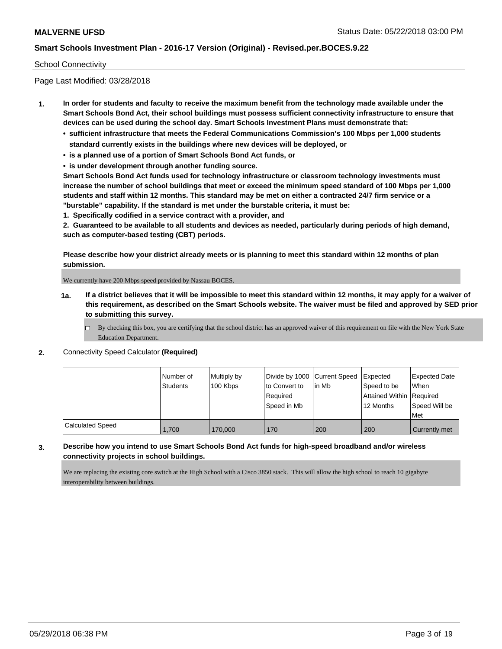### School Connectivity

Page Last Modified: 03/28/2018

- **1. In order for students and faculty to receive the maximum benefit from the technology made available under the Smart Schools Bond Act, their school buildings must possess sufficient connectivity infrastructure to ensure that devices can be used during the school day. Smart Schools Investment Plans must demonstrate that:**
	- **• sufficient infrastructure that meets the Federal Communications Commission's 100 Mbps per 1,000 students standard currently exists in the buildings where new devices will be deployed, or**
	- **• is a planned use of a portion of Smart Schools Bond Act funds, or**
	- **• is under development through another funding source.**

**Smart Schools Bond Act funds used for technology infrastructure or classroom technology investments must increase the number of school buildings that meet or exceed the minimum speed standard of 100 Mbps per 1,000 students and staff within 12 months. This standard may be met on either a contracted 24/7 firm service or a "burstable" capability. If the standard is met under the burstable criteria, it must be:**

**1. Specifically codified in a service contract with a provider, and**

**2. Guaranteed to be available to all students and devices as needed, particularly during periods of high demand, such as computer-based testing (CBT) periods.**

**Please describe how your district already meets or is planning to meet this standard within 12 months of plan submission.**

We currently have 200 Mbps speed provided by Nassau BOCES.

- **1a. If a district believes that it will be impossible to meet this standard within 12 months, it may apply for a waiver of this requirement, as described on the Smart Schools website. The waiver must be filed and approved by SED prior to submitting this survey.**
	- By checking this box, you are certifying that the school district has an approved waiver of this requirement on file with the New York State Education Department.

#### **2.** Connectivity Speed Calculator **(Required)**

|                  | Number of<br><b>Students</b> | Multiply by<br>100 Kbps | Divide by 1000 Current Speed<br>to Convert to<br>Required<br>Speed in Mb | lin Mb | <b>Expected</b><br>Speed to be<br>Attained Within   Required<br>12 Months | <b>Expected Date</b><br>When<br>Speed Will be<br>l Met |
|------------------|------------------------------|-------------------------|--------------------------------------------------------------------------|--------|---------------------------------------------------------------------------|--------------------------------------------------------|
| Calculated Speed | 1,700                        | 170,000                 | 170                                                                      | 200    | 200                                                                       | Currently met                                          |

### **3. Describe how you intend to use Smart Schools Bond Act funds for high-speed broadband and/or wireless connectivity projects in school buildings.**

We are replacing the existing core switch at the High School with a Cisco 3850 stack. This will allow the high school to reach 10 gigabyte interoperability between buildings.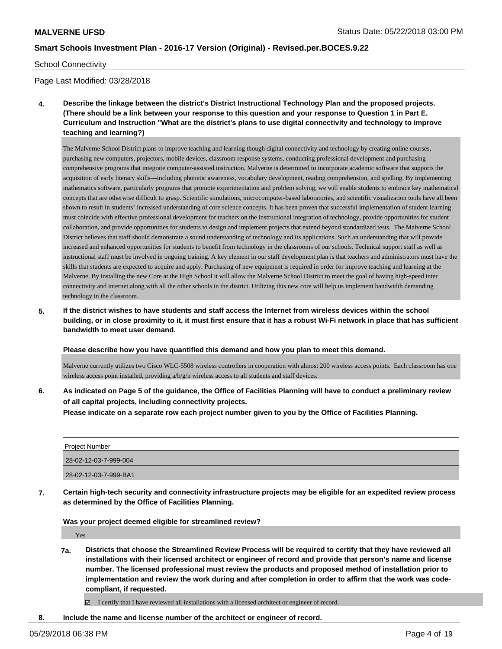#### School Connectivity

Page Last Modified: 03/28/2018

**4. Describe the linkage between the district's District Instructional Technology Plan and the proposed projects. (There should be a link between your response to this question and your response to Question 1 in Part E. Curriculum and Instruction "What are the district's plans to use digital connectivity and technology to improve teaching and learning?)**

The Malverne School District plans to improve teaching and learning though digital connectivity and technology by creating online courses, purchasing new computers, projectors, mobile devices, classroom response systems, conducting professional development and purchasing comprehensive programs that integrate computer-assisted instruction. Malverne is determined to incorporate academic software that supports the acquisition of early literacy skills—including phonetic awareness, vocabulary development, reading comprehension, and spelling. By implementing mathematics software, particularly programs that promote experimentation and problem solving, we will enable students to embrace key mathematical concepts that are otherwise difficult to grasp. Scientific simulations, microcomputer-based laboratories, and scientific visualization tools have all been shown to result in students' increased understanding of core science concepts. It has been proven that successful implementation of student learning must coincide with effective professional development for teachers on the instructional integration of technology, provide opportunities for student collaboration, and provide opportunities for students to design and implement projects that extend beyond standardized tests. The Malverne School District believes that staff should demonstrate a sound understanding of technology and its applications. Such an understanding that will provide increased and enhanced opportunities for students to benefit from technology in the classrooms of our schools. Technical support staff as well as instructional staff must be involved in ongoing training. A key element in our staff development plan is that teachers and administrators must have the skills that students are expected to acquire and apply. Purchasing of new equipment is required in order for improve teaching and learning at the Malverne. By installing the new Core at the High School it will allow the Malverne School District to meet the goal of having high-speed inter connectivity and internet along with all the other schools in the district. Utilizing this new core will help us implement bandwidth demanding technology in the classroom.

**5. If the district wishes to have students and staff access the Internet from wireless devices within the school building, or in close proximity to it, it must first ensure that it has a robust Wi-Fi network in place that has sufficient bandwidth to meet user demand.**

#### **Please describe how you have quantified this demand and how you plan to meet this demand.**

Malverne currently utilizes two Cisco WLC-5508 wireless controllers in cooperation with almost 200 wireless access points. Each classroom has one wireless access point installed, providing a/b/g/n wireless access to all students and staff devices.

**6. As indicated on Page 5 of the guidance, the Office of Facilities Planning will have to conduct a preliminary review of all capital projects, including connectivity projects.**

**Please indicate on a separate row each project number given to you by the Office of Facilities Planning.**

| Project Number        |  |
|-----------------------|--|
| 28-02-12-03-7-999-004 |  |
| 28-02-12-03-7-999-BA1 |  |

**7. Certain high-tech security and connectivity infrastructure projects may be eligible for an expedited review process as determined by the Office of Facilities Planning.**

**Was your project deemed eligible for streamlined review?**

Yes

**7a. Districts that choose the Streamlined Review Process will be required to certify that they have reviewed all installations with their licensed architect or engineer of record and provide that person's name and license number. The licensed professional must review the products and proposed method of installation prior to implementation and review the work during and after completion in order to affirm that the work was codecompliant, if requested.**

I certify that I have reviewed all installations with a licensed architect or engineer of record.

**8. Include the name and license number of the architect or engineer of record.**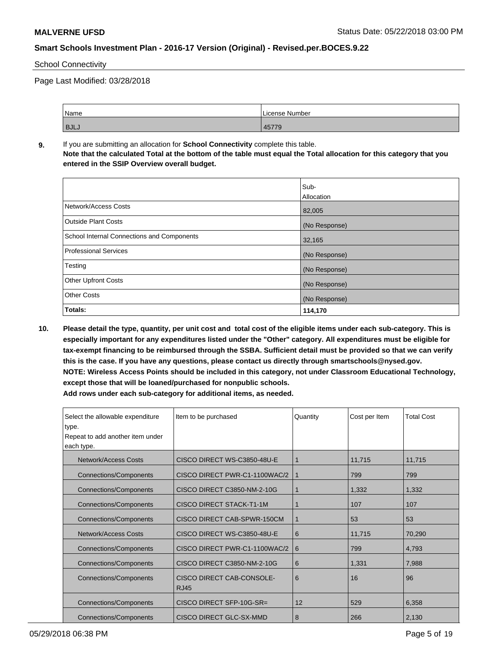### School Connectivity

Page Last Modified: 03/28/2018

| Name        | License Number |
|-------------|----------------|
| <b>BJLJ</b> | 1577<br>45/19  |

**9.** If you are submitting an allocation for **School Connectivity** complete this table. **Note that the calculated Total at the bottom of the table must equal the Total allocation for this category that you entered in the SSIP Overview overall budget.** 

|                                                   | Sub-          |
|---------------------------------------------------|---------------|
|                                                   | Allocation    |
| Network/Access Costs                              | 82,005        |
| <b>Outside Plant Costs</b>                        | (No Response) |
| <b>School Internal Connections and Components</b> | 32,165        |
| <b>Professional Services</b>                      | (No Response) |
| Testing                                           | (No Response) |
| <b>Other Upfront Costs</b>                        | (No Response) |
| <b>Other Costs</b>                                | (No Response) |
| Totals:                                           | 114,170       |

**10. Please detail the type, quantity, per unit cost and total cost of the eligible items under each sub-category. This is especially important for any expenditures listed under the "Other" category. All expenditures must be eligible for tax-exempt financing to be reimbursed through the SSBA. Sufficient detail must be provided so that we can verify this is the case. If you have any questions, please contact us directly through smartschools@nysed.gov. NOTE: Wireless Access Points should be included in this category, not under Classroom Educational Technology, except those that will be loaned/purchased for nonpublic schools.**

| Select the allowable expenditure<br>type.<br>Repeat to add another item under | Item to be purchased                     | Quantity | Cost per Item | <b>Total Cost</b> |
|-------------------------------------------------------------------------------|------------------------------------------|----------|---------------|-------------------|
| each type.                                                                    |                                          |          |               |                   |
| Network/Access Costs                                                          | CISCO DIRECT WS-C3850-48U-E              | 1        | 11,715        | 11,715            |
| <b>Connections/Components</b>                                                 | CISCO DIRECT PWR-C1-1100WAC/2            | 1        | 799           | 799               |
| <b>Connections/Components</b>                                                 | CISCO DIRECT C3850-NM-2-10G              | 1        | 1,332         | 1,332             |
| <b>Connections/Components</b>                                                 | <b>CISCO DIRECT STACK-T1-1M</b>          |          | 107           | 107               |
| <b>Connections/Components</b>                                                 | CISCO DIRECT CAB-SPWR-150CM              | 1        | 53            | 53                |
| Network/Access Costs                                                          | CISCO DIRECT WS-C3850-48U-E              | 6        | 11,715        | 70,290            |
| <b>Connections/Components</b>                                                 | CISCO DIRECT PWR-C1-1100WAC/2            | 6        | 799           | 4,793             |
| <b>Connections/Components</b>                                                 | CISCO DIRECT C3850-NM-2-10G              | 6        | 1,331         | 7,988             |
| <b>Connections/Components</b>                                                 | CISCO DIRECT CAB-CONSOLE-<br><b>RJ45</b> | 6        | 16            | 96                |
| <b>Connections/Components</b>                                                 | CISCO DIRECT SFP-10G-SR=                 | 12       | 529           | 6,358             |
| Connections/Components                                                        | CISCO DIRECT GLC-SX-MMD                  | 8        | 266           | 2,130             |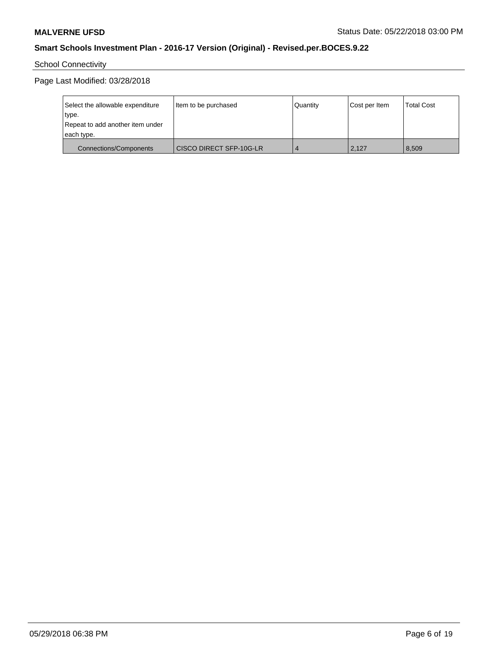# School Connectivity

Page Last Modified: 03/28/2018

| Select the allowable expenditure | Item to be purchased    | Quantity | Cost per Item | <b>Total Cost</b> |
|----------------------------------|-------------------------|----------|---------------|-------------------|
| type.                            |                         |          |               |                   |
| Repeat to add another item under |                         |          |               |                   |
| each type.                       |                         |          |               |                   |
| <b>Connections/Components</b>    | CISCO DIRECT SFP-10G-LR |          | 2,127         | 8,509             |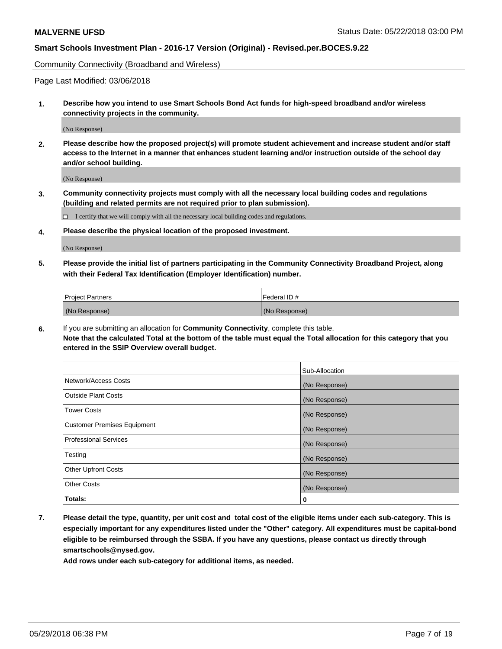Community Connectivity (Broadband and Wireless)

Page Last Modified: 03/06/2018

**1. Describe how you intend to use Smart Schools Bond Act funds for high-speed broadband and/or wireless connectivity projects in the community.**

(No Response)

**2. Please describe how the proposed project(s) will promote student achievement and increase student and/or staff access to the Internet in a manner that enhances student learning and/or instruction outside of the school day and/or school building.**

(No Response)

**3. Community connectivity projects must comply with all the necessary local building codes and regulations (building and related permits are not required prior to plan submission).**

 $\Box$  I certify that we will comply with all the necessary local building codes and regulations.

**4. Please describe the physical location of the proposed investment.**

(No Response)

**5. Please provide the initial list of partners participating in the Community Connectivity Broadband Project, along with their Federal Tax Identification (Employer Identification) number.**

| <b>Project Partners</b> | l Federal ID # |
|-------------------------|----------------|
| (No Response)           | (No Response)  |

**6.** If you are submitting an allocation for **Community Connectivity**, complete this table. **Note that the calculated Total at the bottom of the table must equal the Total allocation for this category that you entered in the SSIP Overview overall budget.**

|                                    | Sub-Allocation |
|------------------------------------|----------------|
| Network/Access Costs               | (No Response)  |
| Outside Plant Costs                | (No Response)  |
| <b>Tower Costs</b>                 | (No Response)  |
| <b>Customer Premises Equipment</b> | (No Response)  |
| Professional Services              | (No Response)  |
| Testing                            | (No Response)  |
| <b>Other Upfront Costs</b>         | (No Response)  |
| <b>Other Costs</b>                 | (No Response)  |
| Totals:                            | 0              |

**7. Please detail the type, quantity, per unit cost and total cost of the eligible items under each sub-category. This is especially important for any expenditures listed under the "Other" category. All expenditures must be capital-bond eligible to be reimbursed through the SSBA. If you have any questions, please contact us directly through smartschools@nysed.gov.**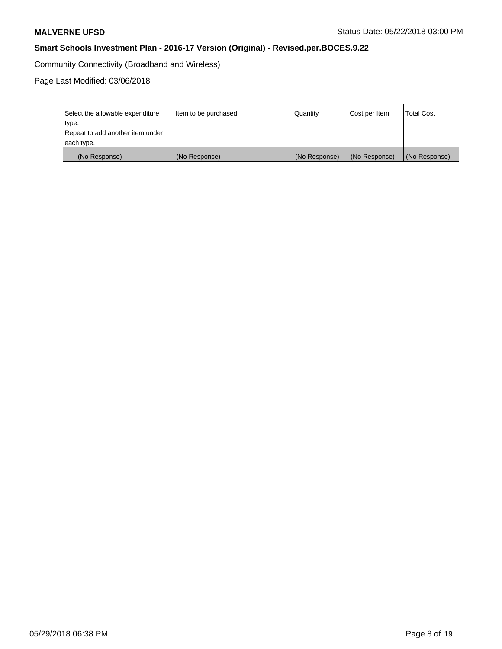Community Connectivity (Broadband and Wireless)

Page Last Modified: 03/06/2018

| Select the allowable expenditure<br>type.<br>Repeat to add another item under | Item to be purchased | Quantity      | Cost per Item | <b>Total Cost</b> |
|-------------------------------------------------------------------------------|----------------------|---------------|---------------|-------------------|
| each type.                                                                    |                      |               |               |                   |
| (No Response)                                                                 | (No Response)        | (No Response) | (No Response) | (No Response)     |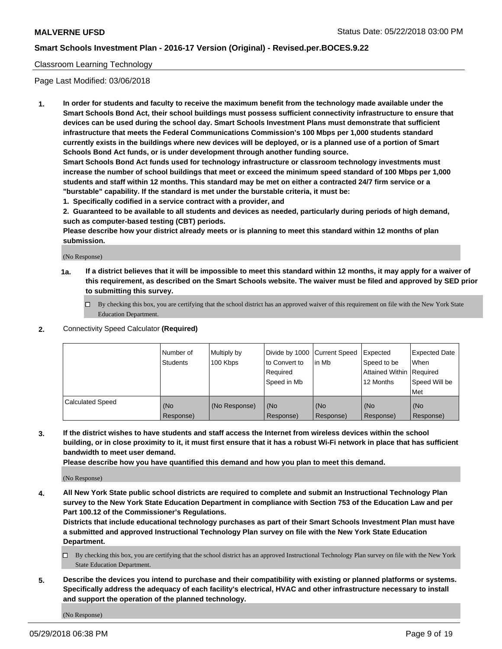### Classroom Learning Technology

Page Last Modified: 03/06/2018

**1. In order for students and faculty to receive the maximum benefit from the technology made available under the Smart Schools Bond Act, their school buildings must possess sufficient connectivity infrastructure to ensure that devices can be used during the school day. Smart Schools Investment Plans must demonstrate that sufficient infrastructure that meets the Federal Communications Commission's 100 Mbps per 1,000 students standard currently exists in the buildings where new devices will be deployed, or is a planned use of a portion of Smart Schools Bond Act funds, or is under development through another funding source.**

**Smart Schools Bond Act funds used for technology infrastructure or classroom technology investments must increase the number of school buildings that meet or exceed the minimum speed standard of 100 Mbps per 1,000 students and staff within 12 months. This standard may be met on either a contracted 24/7 firm service or a "burstable" capability. If the standard is met under the burstable criteria, it must be:**

**1. Specifically codified in a service contract with a provider, and**

**2. Guaranteed to be available to all students and devices as needed, particularly during periods of high demand, such as computer-based testing (CBT) periods.**

**Please describe how your district already meets or is planning to meet this standard within 12 months of plan submission.**

(No Response)

- **1a. If a district believes that it will be impossible to meet this standard within 12 months, it may apply for a waiver of this requirement, as described on the Smart Schools website. The waiver must be filed and approved by SED prior to submitting this survey.**
	- By checking this box, you are certifying that the school district has an approved waiver of this requirement on file with the New York State Education Department.
- **2.** Connectivity Speed Calculator **(Required)**

|                         | l Number of<br><b>Students</b> | Multiply by<br>100 Kbps | Divide by 1000 Current Speed<br>to Convert to<br>Required<br>l Speed in Mb | lin Mb           | Expected<br>Speed to be<br>Attained Within Required<br>12 Months | Expected Date<br>When<br>Speed Will be<br><b>Met</b> |
|-------------------------|--------------------------------|-------------------------|----------------------------------------------------------------------------|------------------|------------------------------------------------------------------|------------------------------------------------------|
| <b>Calculated Speed</b> | (No<br>Response)               | (No Response)           | (No<br>Response)                                                           | (No<br>Response) | (No<br>Response)                                                 | l (No<br>Response)                                   |

**3. If the district wishes to have students and staff access the Internet from wireless devices within the school building, or in close proximity to it, it must first ensure that it has a robust Wi-Fi network in place that has sufficient bandwidth to meet user demand.**

**Please describe how you have quantified this demand and how you plan to meet this demand.**

(No Response)

**4. All New York State public school districts are required to complete and submit an Instructional Technology Plan survey to the New York State Education Department in compliance with Section 753 of the Education Law and per Part 100.12 of the Commissioner's Regulations.**

**Districts that include educational technology purchases as part of their Smart Schools Investment Plan must have a submitted and approved Instructional Technology Plan survey on file with the New York State Education Department.**

- By checking this box, you are certifying that the school district has an approved Instructional Technology Plan survey on file with the New York State Education Department.
- **5. Describe the devices you intend to purchase and their compatibility with existing or planned platforms or systems. Specifically address the adequacy of each facility's electrical, HVAC and other infrastructure necessary to install and support the operation of the planned technology.**

(No Response)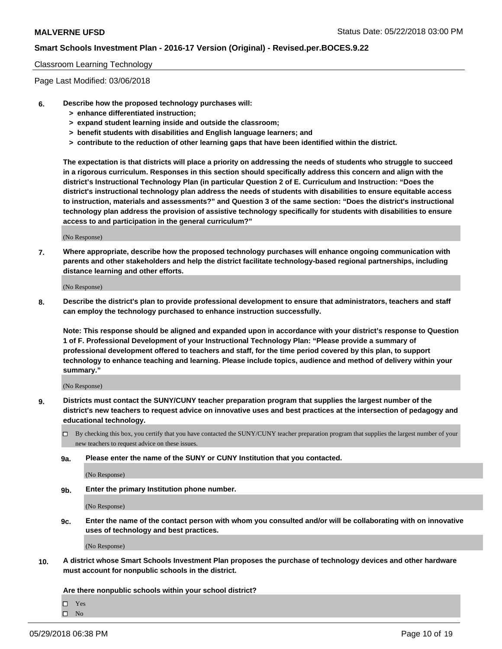#### Classroom Learning Technology

Page Last Modified: 03/06/2018

- **6. Describe how the proposed technology purchases will:**
	- **> enhance differentiated instruction;**
	- **> expand student learning inside and outside the classroom;**
	- **> benefit students with disabilities and English language learners; and**
	- **> contribute to the reduction of other learning gaps that have been identified within the district.**

**The expectation is that districts will place a priority on addressing the needs of students who struggle to succeed in a rigorous curriculum. Responses in this section should specifically address this concern and align with the district's Instructional Technology Plan (in particular Question 2 of E. Curriculum and Instruction: "Does the district's instructional technology plan address the needs of students with disabilities to ensure equitable access to instruction, materials and assessments?" and Question 3 of the same section: "Does the district's instructional technology plan address the provision of assistive technology specifically for students with disabilities to ensure access to and participation in the general curriculum?"**

(No Response)

**7. Where appropriate, describe how the proposed technology purchases will enhance ongoing communication with parents and other stakeholders and help the district facilitate technology-based regional partnerships, including distance learning and other efforts.**

(No Response)

**8. Describe the district's plan to provide professional development to ensure that administrators, teachers and staff can employ the technology purchased to enhance instruction successfully.**

**Note: This response should be aligned and expanded upon in accordance with your district's response to Question 1 of F. Professional Development of your Instructional Technology Plan: "Please provide a summary of professional development offered to teachers and staff, for the time period covered by this plan, to support technology to enhance teaching and learning. Please include topics, audience and method of delivery within your summary."**

(No Response)

- **9. Districts must contact the SUNY/CUNY teacher preparation program that supplies the largest number of the district's new teachers to request advice on innovative uses and best practices at the intersection of pedagogy and educational technology.**
	- $\Box$  By checking this box, you certify that you have contacted the SUNY/CUNY teacher preparation program that supplies the largest number of your new teachers to request advice on these issues.
	- **9a. Please enter the name of the SUNY or CUNY Institution that you contacted.**

(No Response)

**9b. Enter the primary Institution phone number.**

(No Response)

**9c. Enter the name of the contact person with whom you consulted and/or will be collaborating with on innovative uses of technology and best practices.**

(No Response)

**10. A district whose Smart Schools Investment Plan proposes the purchase of technology devices and other hardware must account for nonpublic schools in the district.**

**Are there nonpublic schools within your school district?**

 $\Box$ Yes

 $\hfill \square$  No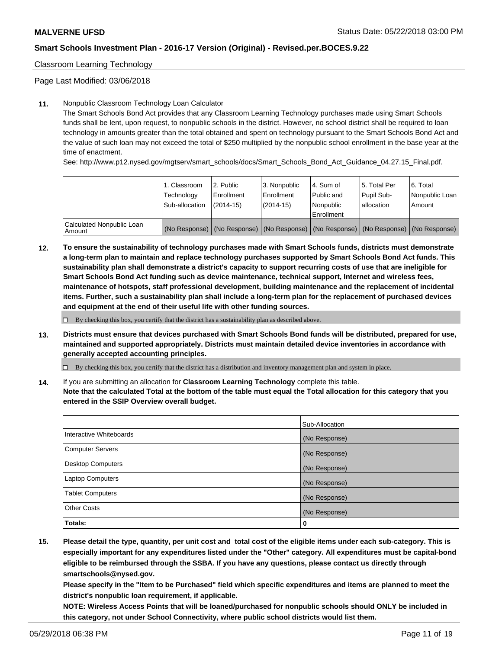Classroom Learning Technology

Page Last Modified: 03/06/2018

### **11.** Nonpublic Classroom Technology Loan Calculator

The Smart Schools Bond Act provides that any Classroom Learning Technology purchases made using Smart Schools funds shall be lent, upon request, to nonpublic schools in the district. However, no school district shall be required to loan technology in amounts greater than the total obtained and spent on technology pursuant to the Smart Schools Bond Act and the value of such loan may not exceed the total of \$250 multiplied by the nonpublic school enrollment in the base year at the time of enactment.

See: http://www.p12.nysed.gov/mgtserv/smart\_schools/docs/Smart\_Schools\_Bond\_Act\_Guidance\_04.27.15\_Final.pdf.

|                                       | 1. Classroom<br>Technology<br>Sub-allocation | l 2. Public<br>Enrollment<br>$(2014 - 15)$ | l 3. Nonpublic<br>Enrollment<br>(2014-15) | 4. Sum of<br>Public and<br>l Nonpublic<br>Enrollment | l 5. Total Per<br>Pupil Sub-<br>lallocation                                                   | l 6. Total<br>Nonpublic Loan<br>Amount |
|---------------------------------------|----------------------------------------------|--------------------------------------------|-------------------------------------------|------------------------------------------------------|-----------------------------------------------------------------------------------------------|----------------------------------------|
| Calculated Nonpublic Loan<br>l Amount |                                              |                                            |                                           |                                                      | (No Response)   (No Response)   (No Response)   (No Response)   (No Response)   (No Response) |                                        |

**12. To ensure the sustainability of technology purchases made with Smart Schools funds, districts must demonstrate a long-term plan to maintain and replace technology purchases supported by Smart Schools Bond Act funds. This sustainability plan shall demonstrate a district's capacity to support recurring costs of use that are ineligible for Smart Schools Bond Act funding such as device maintenance, technical support, Internet and wireless fees, maintenance of hotspots, staff professional development, building maintenance and the replacement of incidental items. Further, such a sustainability plan shall include a long-term plan for the replacement of purchased devices and equipment at the end of their useful life with other funding sources.**

 $\square$  By checking this box, you certify that the district has a sustainability plan as described above.

**13. Districts must ensure that devices purchased with Smart Schools Bond funds will be distributed, prepared for use, maintained and supported appropriately. Districts must maintain detailed device inventories in accordance with generally accepted accounting principles.**

By checking this box, you certify that the district has a distribution and inventory management plan and system in place.

**14.** If you are submitting an allocation for **Classroom Learning Technology** complete this table.

**Note that the calculated Total at the bottom of the table must equal the Total allocation for this category that you entered in the SSIP Overview overall budget.**

|                          | Sub-Allocation |
|--------------------------|----------------|
| Interactive Whiteboards  | (No Response)  |
| <b>Computer Servers</b>  | (No Response)  |
| <b>Desktop Computers</b> | (No Response)  |
| <b>Laptop Computers</b>  | (No Response)  |
| <b>Tablet Computers</b>  | (No Response)  |
| <b>Other Costs</b>       | (No Response)  |
| Totals:                  | 0              |

**15. Please detail the type, quantity, per unit cost and total cost of the eligible items under each sub-category. This is especially important for any expenditures listed under the "Other" category. All expenditures must be capital-bond eligible to be reimbursed through the SSBA. If you have any questions, please contact us directly through smartschools@nysed.gov.**

**Please specify in the "Item to be Purchased" field which specific expenditures and items are planned to meet the district's nonpublic loan requirement, if applicable.**

**NOTE: Wireless Access Points that will be loaned/purchased for nonpublic schools should ONLY be included in this category, not under School Connectivity, where public school districts would list them.**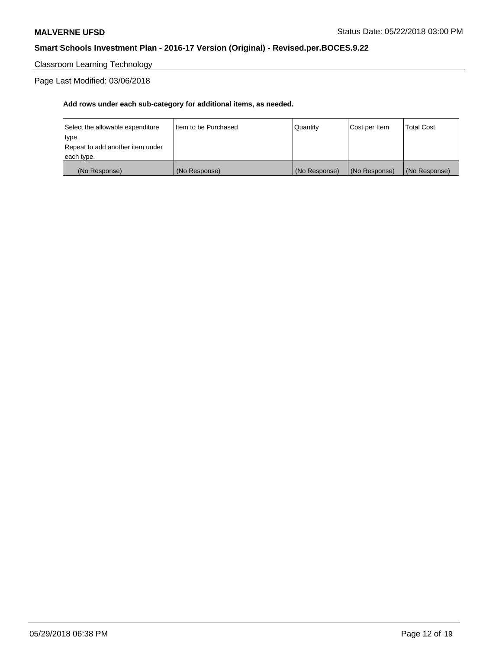# Classroom Learning Technology

# Page Last Modified: 03/06/2018

| (No Response)                    | (No Response)          | (No Response) | (No Response) | (No Response)     |
|----------------------------------|------------------------|---------------|---------------|-------------------|
| each type.                       |                        |               |               |                   |
| Repeat to add another item under |                        |               |               |                   |
| type.                            |                        |               |               |                   |
| Select the allowable expenditure | I Item to be Purchased | Quantity      | Cost per Item | <b>Total Cost</b> |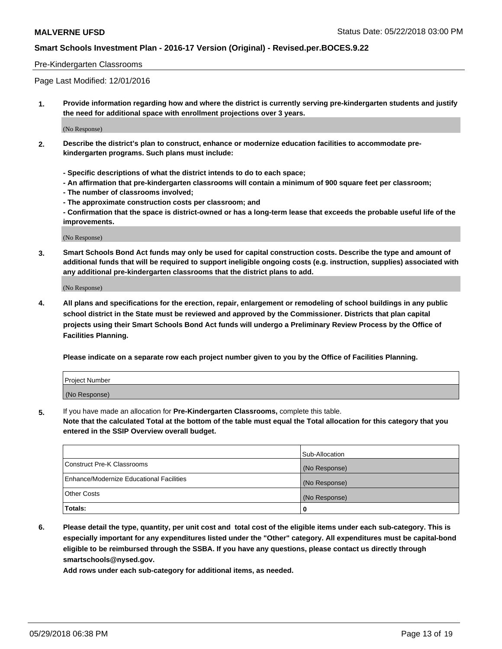#### Pre-Kindergarten Classrooms

Page Last Modified: 12/01/2016

**1. Provide information regarding how and where the district is currently serving pre-kindergarten students and justify the need for additional space with enrollment projections over 3 years.**

(No Response)

- **2. Describe the district's plan to construct, enhance or modernize education facilities to accommodate prekindergarten programs. Such plans must include:**
	- **Specific descriptions of what the district intends to do to each space;**
	- **An affirmation that pre-kindergarten classrooms will contain a minimum of 900 square feet per classroom;**
	- **The number of classrooms involved;**
	- **The approximate construction costs per classroom; and**
	- **Confirmation that the space is district-owned or has a long-term lease that exceeds the probable useful life of the improvements.**

(No Response)

**3. Smart Schools Bond Act funds may only be used for capital construction costs. Describe the type and amount of additional funds that will be required to support ineligible ongoing costs (e.g. instruction, supplies) associated with any additional pre-kindergarten classrooms that the district plans to add.**

(No Response)

**4. All plans and specifications for the erection, repair, enlargement or remodeling of school buildings in any public school district in the State must be reviewed and approved by the Commissioner. Districts that plan capital projects using their Smart Schools Bond Act funds will undergo a Preliminary Review Process by the Office of Facilities Planning.**

**Please indicate on a separate row each project number given to you by the Office of Facilities Planning.**

| Project Number |  |
|----------------|--|
| (No Response)  |  |

**5.** If you have made an allocation for **Pre-Kindergarten Classrooms,** complete this table.

**Note that the calculated Total at the bottom of the table must equal the Total allocation for this category that you entered in the SSIP Overview overall budget.**

|                                          | Sub-Allocation |
|------------------------------------------|----------------|
| Construct Pre-K Classrooms               | (No Response)  |
| Enhance/Modernize Educational Facilities | (No Response)  |
| Other Costs                              | (No Response)  |
| Totals:                                  | 0              |

**6. Please detail the type, quantity, per unit cost and total cost of the eligible items under each sub-category. This is especially important for any expenditures listed under the "Other" category. All expenditures must be capital-bond eligible to be reimbursed through the SSBA. If you have any questions, please contact us directly through smartschools@nysed.gov.**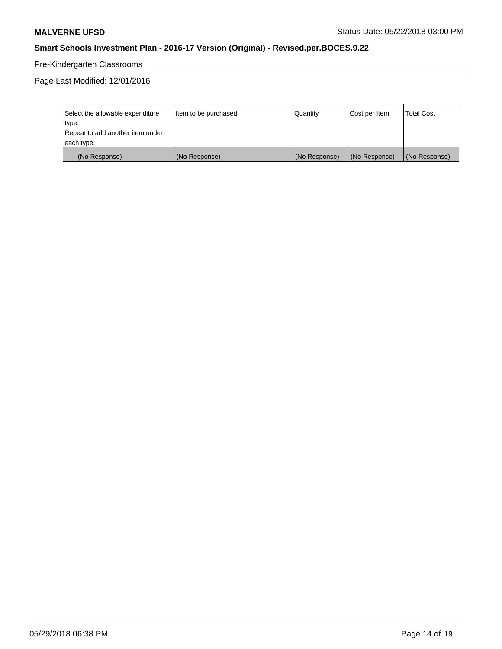# Pre-Kindergarten Classrooms

Page Last Modified: 12/01/2016

| Select the allowable expenditure | Item to be purchased | Quantity      | Cost per Item | <b>Total Cost</b> |
|----------------------------------|----------------------|---------------|---------------|-------------------|
| type.                            |                      |               |               |                   |
| Repeat to add another item under |                      |               |               |                   |
| each type.                       |                      |               |               |                   |
| (No Response)                    | (No Response)        | (No Response) | (No Response) | (No Response)     |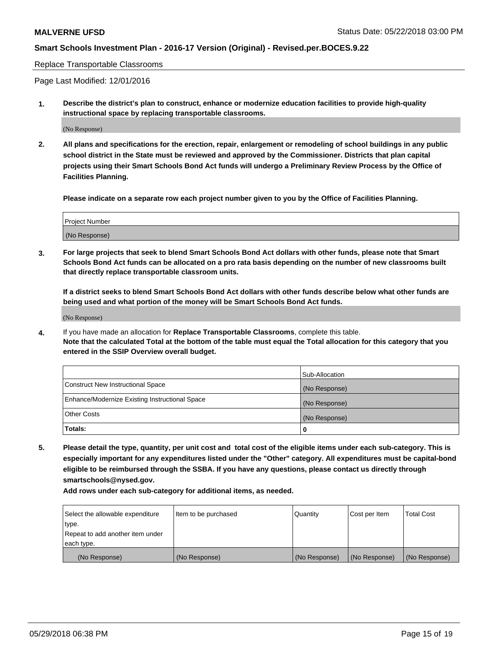#### Replace Transportable Classrooms

Page Last Modified: 12/01/2016

**1. Describe the district's plan to construct, enhance or modernize education facilities to provide high-quality instructional space by replacing transportable classrooms.**

(No Response)

**2. All plans and specifications for the erection, repair, enlargement or remodeling of school buildings in any public school district in the State must be reviewed and approved by the Commissioner. Districts that plan capital projects using their Smart Schools Bond Act funds will undergo a Preliminary Review Process by the Office of Facilities Planning.**

**Please indicate on a separate row each project number given to you by the Office of Facilities Planning.**

| <b>Project Number</b> |  |
|-----------------------|--|
| (No Response)         |  |

**3. For large projects that seek to blend Smart Schools Bond Act dollars with other funds, please note that Smart Schools Bond Act funds can be allocated on a pro rata basis depending on the number of new classrooms built that directly replace transportable classroom units.**

**If a district seeks to blend Smart Schools Bond Act dollars with other funds describe below what other funds are being used and what portion of the money will be Smart Schools Bond Act funds.**

(No Response)

**4.** If you have made an allocation for **Replace Transportable Classrooms**, complete this table. **Note that the calculated Total at the bottom of the table must equal the Total allocation for this category that you entered in the SSIP Overview overall budget.**

|                                                | Sub-Allocation |
|------------------------------------------------|----------------|
| Construct New Instructional Space              | (No Response)  |
| Enhance/Modernize Existing Instructional Space | (No Response)  |
| Other Costs                                    | (No Response)  |
| Totals:                                        | 0              |

**5. Please detail the type, quantity, per unit cost and total cost of the eligible items under each sub-category. This is especially important for any expenditures listed under the "Other" category. All expenditures must be capital-bond eligible to be reimbursed through the SSBA. If you have any questions, please contact us directly through smartschools@nysed.gov.**

| Select the allowable expenditure | Item to be purchased | Quantity      | Cost per Item | <b>Total Cost</b> |
|----------------------------------|----------------------|---------------|---------------|-------------------|
| type.                            |                      |               |               |                   |
| Repeat to add another item under |                      |               |               |                   |
| each type.                       |                      |               |               |                   |
| (No Response)                    | (No Response)        | (No Response) | (No Response) | (No Response)     |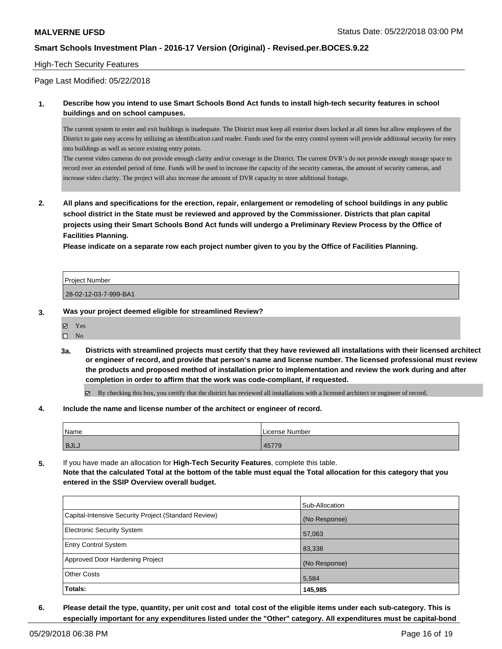### High-Tech Security Features

Page Last Modified: 05/22/2018

**1. Describe how you intend to use Smart Schools Bond Act funds to install high-tech security features in school buildings and on school campuses.**

The current system to enter and exit buildings is inadequate. The District must keep all exterior doors locked at all times but allow employees of the District to gain easy access by utilizing an identification card reader. Funds used for the entry control system will provide additional security for entry into buildings as well as secure existing entry points.

The current video cameras do not provide enough clarity and/or coverage in the District. The current DVR's do not provide enough storage space to record over an extended period of time. Funds will be used to increase the capacity of the security cameras, the amount of security cameras, and increase video clarity. The project will also increase the amount of DVR capacity to store additional footage.

**2. All plans and specifications for the erection, repair, enlargement or remodeling of school buildings in any public school district in the State must be reviewed and approved by the Commissioner. Districts that plan capital projects using their Smart Schools Bond Act funds will undergo a Preliminary Review Process by the Office of Facilities Planning.** 

**Please indicate on a separate row each project number given to you by the Office of Facilities Planning.**

| <b>Project Number</b> |  |
|-----------------------|--|
|                       |  |
| 28-02-12-03-7-999-BA1 |  |

- **3. Was your project deemed eligible for streamlined Review?**
	- **冈** Yes
	- $\square$  No
	- **3a. Districts with streamlined projects must certify that they have reviewed all installations with their licensed architect or engineer of record, and provide that person's name and license number. The licensed professional must review the products and proposed method of installation prior to implementation and review the work during and after completion in order to affirm that the work was code-compliant, if requested.**

By checking this box, you certify that the district has reviewed all installations with a licensed architect or engineer of record.

**4. Include the name and license number of the architect or engineer of record.**

| Name        | Number<br>License |
|-------------|-------------------|
| <b>BJLJ</b> | $--- -$           |
|             | 45779             |

**5.** If you have made an allocation for **High-Tech Security Features**, complete this table. **Note that the calculated Total at the bottom of the table must equal the Total allocation for this category that you entered in the SSIP Overview overall budget.**

|                                                      | Sub-Allocation |
|------------------------------------------------------|----------------|
| Capital-Intensive Security Project (Standard Review) | (No Response)  |
| <b>Electronic Security System</b>                    | 57,063         |
| <b>Entry Control System</b>                          | 83,338         |
| Approved Door Hardening Project                      | (No Response)  |
| <b>Other Costs</b>                                   | 5,584          |
| Totals:                                              | 145,985        |

**6. Please detail the type, quantity, per unit cost and total cost of the eligible items under each sub-category. This is especially important for any expenditures listed under the "Other" category. All expenditures must be capital-bond**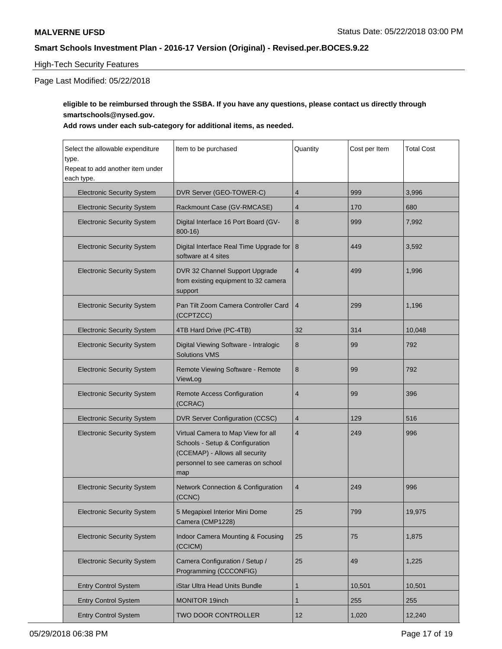## High-Tech Security Features

Page Last Modified: 05/22/2018

## **eligible to be reimbursed through the SSBA. If you have any questions, please contact us directly through smartschools@nysed.gov.**

| Select the allowable expenditure<br>type.<br>Repeat to add another item under<br>each type. | Item to be purchased                                                                                                                                 | Quantity       | Cost per Item | <b>Total Cost</b> |
|---------------------------------------------------------------------------------------------|------------------------------------------------------------------------------------------------------------------------------------------------------|----------------|---------------|-------------------|
| <b>Electronic Security System</b>                                                           | DVR Server (GEO-TOWER-C)                                                                                                                             | 4              | 999           | 3,996             |
| <b>Electronic Security System</b>                                                           | Rackmount Case (GV-RMCASE)                                                                                                                           | 4              | 170           | 680               |
| <b>Electronic Security System</b>                                                           | Digital Interface 16 Port Board (GV-<br>$800 - 16$                                                                                                   | 8              | 999           | 7,992             |
| <b>Electronic Security System</b>                                                           | Digital Interface Real Time Upgrade for<br>software at 4 sites                                                                                       | 8              | 449           | 3,592             |
| <b>Electronic Security System</b>                                                           | DVR 32 Channel Support Upgrade<br>from existing equipment to 32 camera<br>support                                                                    | $\overline{4}$ | 499           | 1,996             |
| <b>Electronic Security System</b>                                                           | Pan Tilt Zoom Camera Controller Card<br>(CCPTZCC)                                                                                                    | 4              | 299           | 1,196             |
| <b>Electronic Security System</b>                                                           | 4TB Hard Drive (PC-4TB)                                                                                                                              | 32             | 314           | 10,048            |
| <b>Electronic Security System</b>                                                           | Digital Viewing Software - Intralogic<br><b>Solutions VMS</b>                                                                                        | 8              | 99            | 792               |
| <b>Electronic Security System</b>                                                           | Remote Viewing Software - Remote<br>ViewLog                                                                                                          | 8              | 99            | 792               |
| <b>Electronic Security System</b>                                                           | Remote Access Configuration<br>(CCRAC)                                                                                                               | $\overline{4}$ | 99            | 396               |
| <b>Electronic Security System</b>                                                           | DVR Server Configuration (CCSC)                                                                                                                      | $\overline{4}$ | 129           | 516               |
| <b>Electronic Security System</b>                                                           | Virtual Camera to Map View for all<br>Schools - Setup & Configuration<br>(CCEMAP) - Allows all security<br>personnel to see cameras on school<br>map | $\overline{4}$ | 249           | 996               |
| <b>Electronic Security System</b>                                                           | Network Connection & Configuration<br>(CCNC)                                                                                                         | 4              | 249           | 996               |
| <b>Electronic Security System</b>                                                           | 5 Megapixel Interior Mini Dome<br>Camera (CMP1228)                                                                                                   | 25             | 799           | 19,975            |
| <b>Electronic Security System</b>                                                           | Indoor Camera Mounting & Focusing<br>(CCICM)                                                                                                         | 25             | 75            | 1,875             |
| <b>Electronic Security System</b>                                                           | Camera Configuration / Setup /<br>Programming (CCCONFIG)                                                                                             | 25             | 49            | 1,225             |
| <b>Entry Control System</b>                                                                 | iStar Ultra Head Units Bundle                                                                                                                        | 1              | 10,501        | 10,501            |
| <b>Entry Control System</b>                                                                 | MONITOR 19inch                                                                                                                                       | 1              | 255           | 255               |
| <b>Entry Control System</b>                                                                 | <b>TWO DOOR CONTROLLER</b>                                                                                                                           | 12             | 1,020         | 12,240            |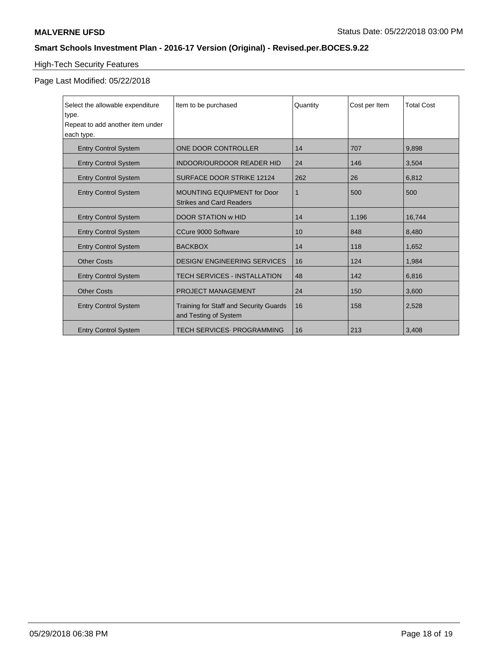# High-Tech Security Features

## Page Last Modified: 05/22/2018

| Select the allowable expenditure<br>type. | Item to be purchased                                                  | Quantity | Cost per Item | <b>Total Cost</b> |
|-------------------------------------------|-----------------------------------------------------------------------|----------|---------------|-------------------|
| Repeat to add another item under          |                                                                       |          |               |                   |
| each type.                                |                                                                       |          |               |                   |
| <b>Entry Control System</b>               | ONE DOOR CONTROLLER                                                   | 14       | 707           | 9,898             |
| <b>Entry Control System</b>               | <b>INDOOR/OURDOOR READER HID</b>                                      | 24       | 146           | 3,504             |
| <b>Entry Control System</b>               | <b>SURFACE DOOR STRIKE 12124</b>                                      | 262      | 26            | 6,812             |
| <b>Entry Control System</b>               | <b>MOUNTING EQUIPMENT for Door</b><br><b>Strikes and Card Readers</b> | 1        | 500           | 500               |
| <b>Entry Control System</b>               | <b>DOOR STATION W HID</b>                                             | 14       | 1,196         | 16,744            |
| <b>Entry Control System</b>               | CCure 9000 Software                                                   | 10       | 848           | 8,480             |
| <b>Entry Control System</b>               | <b>BACKBOX</b>                                                        | 14       | 118           | 1,652             |
| <b>Other Costs</b>                        | <b>DESIGN/ ENGINEERING SERVICES</b>                                   | 16       | 124           | 1,984             |
| <b>Entry Control System</b>               | <b>TECH SERVICES - INSTALLATION</b>                                   | 48       | 142           | 6,816             |
| <b>Other Costs</b>                        | <b>PROJECT MANAGEMENT</b>                                             | 24       | 150           | 3,600             |
| <b>Entry Control System</b>               | Training for Staff and Security Guards<br>and Testing of System       | 16       | 158           | 2,528             |
| <b>Entry Control System</b>               | <b>TECH SERVICES. PROGRAMMING</b>                                     | 16       | 213           | 3,408             |